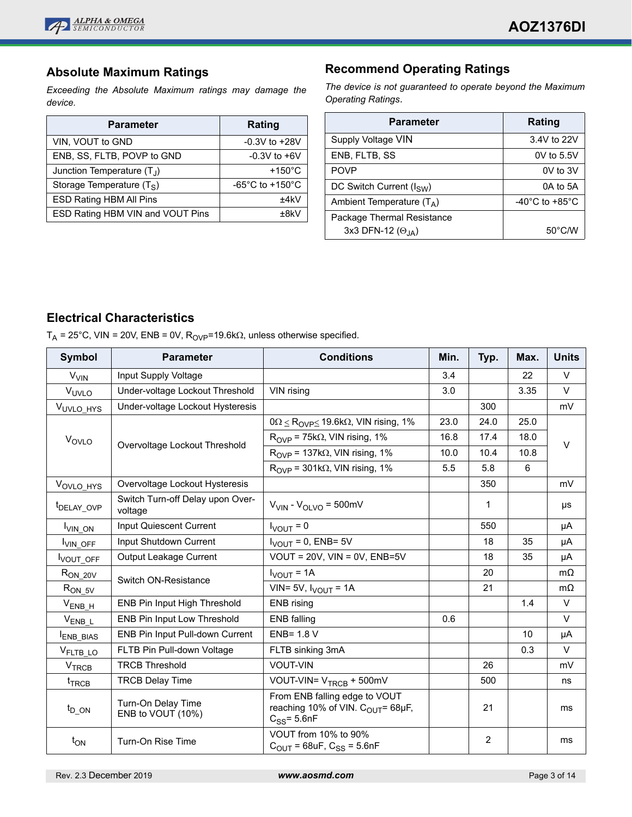

## **Absolute Maximum Ratings**

*Exceeding the Absolute Maximum ratings may damage the device.*

| <b>Parameter</b>                 | <b>Rating</b>                         |  |  |
|----------------------------------|---------------------------------------|--|--|
| VIN, VOUT to GND                 | $-0.3V$ to $+28V$                     |  |  |
| ENB, SS, FLTB, POVP to GND       | $-0.3V$ to $+6V$                      |  |  |
| Junction Temperature $(T_1)$     | $+150^{\circ}$ C                      |  |  |
| Storage Temperature $(T_S)$      | -65 $^{\circ}$ C to +150 $^{\circ}$ C |  |  |
| <b>ESD Rating HBM All Pins</b>   | $+4kV$                                |  |  |
| ESD Rating HBM VIN and VOUT Pins | +8k\                                  |  |  |

## **Recommend Operating Ratings**

*The device is not guaranteed to operate beyond the Maximum Operating Ratings*.

| <b>Parameter</b>             | <b>Rating</b>                        |  |  |  |
|------------------------------|--------------------------------------|--|--|--|
| Supply Voltage VIN           | 3.4V to 22V                          |  |  |  |
| ENB, FLTB, SS                | $0V$ to $5.5V$                       |  |  |  |
| <b>POVP</b>                  | $0V$ to $3V$                         |  |  |  |
| DC Switch Current $(I_{SW})$ | 0A to 5A                             |  |  |  |
| Ambient Temperature $(T_A)$  | -40 $^{\circ}$ C to +85 $^{\circ}$ C |  |  |  |
| Package Thermal Resistance   |                                      |  |  |  |
| 3x3 DFN-12 $(\Theta_{JA})$   | $50^{\circ}$ C/W                     |  |  |  |

## **Electrical Characteristics**

 $T_A$  = 25°C, VIN = 20V, ENB = 0V,  $R_{OVP}$ =19.6k $\Omega$ , unless otherwise specified.

| Symbol                  | <b>Parameter</b>                            | <b>Conditions</b>                                                                                  | Min. | Typ. | Max. | <b>Units</b> |
|-------------------------|---------------------------------------------|----------------------------------------------------------------------------------------------------|------|------|------|--------------|
| <b>V<sub>VIN</sub></b>  | Input Supply Voltage                        |                                                                                                    | 3.4  |      | 22   | $\vee$       |
| VUVLO                   | Under-voltage Lockout Threshold             | VIN rising                                                                                         | 3.0  |      | 3.35 | $\vee$       |
| VUVLO_HYS               | Under-voltage Lockout Hysteresis            |                                                                                                    |      | 300  |      | mV           |
| V <sub>OVLO</sub>       | Overvoltage Lockout Threshold               | $0\Omega \leq R_{\text{OVP}} \leq 19.6 \text{k}\Omega$ , VIN rising, 1%                            | 23.0 | 24.0 | 25.0 | $\vee$       |
|                         |                                             | $R_{OVP}$ = 75k $\Omega$ , VIN rising, 1%                                                          | 16.8 | 17.4 | 18.0 |              |
|                         |                                             | $R_{OVP}$ = 137k $\Omega$ , VIN rising, 1%                                                         | 10.0 | 10.4 | 10.8 |              |
|                         |                                             | $R_{OVP}$ = 301k $\Omega$ , VIN rising, 1%                                                         | 5.5  | 5.8  | 6    |              |
| VOVLO_HYS               | Overvoltage Lockout Hysteresis              |                                                                                                    |      | 350  |      | mV           |
| t <sub>DELAY_OVP</sub>  | Switch Turn-off Delay upon Over-<br>voltage | $V_{VIN}$ - $V_{OI}$ vo = 500mV                                                                    |      | 1    |      | μs           |
| VIN_ON                  | Input Quiescent Current                     | $I_{\text{VOUT}} = 0$                                                                              |      | 550  |      | μA           |
| VIN OFF                 | Input Shutdown Current                      | $I_{VOUIT}$ = 0, ENB= 5V                                                                           |      | 18   | 35   | μA           |
| VOUT_OFF                | Output Leakage Current                      | VOUT = $20V$ , VIN = $0V$ , ENB= $5V$                                                              |      | 18   | 35   | μA           |
| $R_{ON_20V}$            | Switch ON-Resistance                        | $I_{VOUT} = 1A$                                                                                    |      | 20   |      | $m\Omega$    |
| $R_{ON_5V}$             |                                             | VIN= 5V, $I_{VOUT}$ = 1A                                                                           |      | 21   |      | $m\Omega$    |
| $V_{ENB_H}$             | <b>ENB Pin Input High Threshold</b>         | <b>ENB</b> rising                                                                                  |      |      | 1.4  | $\vee$       |
| $V_{ENB_L}$             | ENB Pin Input Low Threshold                 | <b>ENB</b> falling                                                                                 | 0.6  |      |      | $\vee$       |
| ENB_BIAS                | ENB Pin Input Pull-down Current             | ENB= 1.8 V                                                                                         |      |      | 10   | μA           |
| V <sub>FLTB_LO</sub>    | FLTB Pin Pull-down Voltage                  | FLTB sinking 3mA                                                                                   |      |      | 0.3  | $\vee$       |
| <b>V<sub>TRCB</sub></b> | <b>TRCB Threshold</b>                       | <b>VOUT-VIN</b>                                                                                    |      | 26   |      | mV           |
| $t_{TRCB}$              | <b>TRCB Delay Time</b>                      | VOUT-VIN= V <sub>TRCB</sub> + 500mV                                                                |      | 500  |      | ns           |
| $t_{D_ON}$              | Turn-On Delay Time<br>ENB to VOUT (10%)     | From ENB falling edge to VOUT<br>reaching 10% of VIN. C <sub>OUT</sub> = 68µF,<br>$C_{SS}$ = 5.6nF |      | 21   |      | ms           |
| $t_{ON}$                | Turn-On Rise Time                           | VOUT from 10% to 90%<br>$C_{\text{OUT}}$ = 68uF, $C_{SS}$ = 5.6nF                                  |      | 2    |      | ms           |